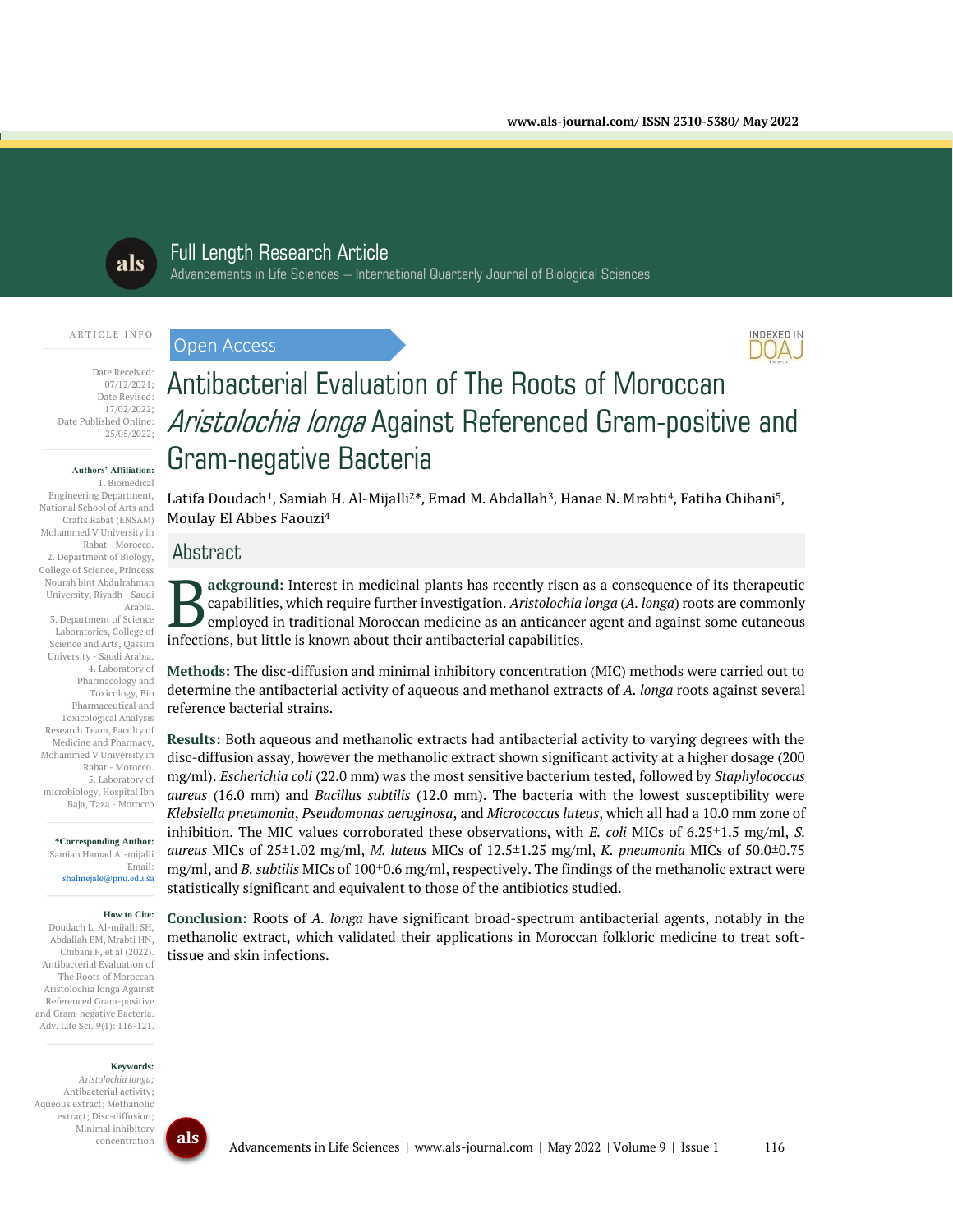

# Full Length Research Article

Advancements in Life Sciences – International Quarterly Journal of Biological Sciences

#### ARTICLE INFO

Date Received: 07/12/2021; Date Revised: 17/02/2022; Date Published Online: 25/05/2022;

#### **Authors' Affiliation:**

1. Biomedical Engineering Department, National School of Arts and Crafts Rabat (ENSAM) Mohammed V University in Rabat - Morocco. 2. Department of Biology, College of Science, Princess Nourah bint Abdulrahman University, Riyadh - Saudi Arabia. 3. Department of Science Laboratories, College of Science and Arts, Qassim University - Saudi Arabia. 4. Laboratory of Pharmacology and Toxicology, Bio Pharmaceutical and Toxicological Analysis Research Team, Faculty of Medicine and Pharmacy, Mohammed V University in Rabat - Morocco. 5. Laboratory of microbiology, Hospital Ibn Baja, Taza - Morocco

**\*Corresponding Author:** Samiah Hamad Al-mijalli Email: shalmejale@pnu.edu.sa

# **How to Cite:**

Doudach L, Al-mijalli SH, Abdallah EM, Mrabti HN, Chibani F, et al (2022). Antibacterial Evaluation of The Roots of Moroccan Aristolochia longa Against Referenced Gram-positive and Gram-negative Bacteria. Adv. Life Sci. 9(1): 116-121.

#### **Keywords:**

*Aristolochia longa;* Antibacterial activity; Aqueous extract; Methanolic extract; Disc-diffusion; Minimal inhibitory concentration





# Antibacterial Evaluation of The Roots of Moroccan Aristolochia longa Against Referenced Gram-positive and Gram-negative Bacteria

Latifa Doudach<sup>1</sup>, Samiah H. Al-Mijalli<sup>2\*</sup>, Emad M. Abdallah<sup>3</sup>, Hanae N. Mrabti<sup>4</sup>, Fatiha Chibani<sup>5</sup>, Moulay El Abbes Faouzi<sup>4</sup>

# Abstract

Open Access

**ackground:** Interest in medicinal plants has recently risen as a consequence of its therapeutic capabilities, which require further investigation. *Aristolochia longa* (*A. longa*) roots are commonly employed in traditional Moroccan medicine as an anticancer agent and against some cutaneous **infections** ackground: Interest in medicinal plants has recently risen capabilities, which require further investigation. Aristolochia employed in traditional Moroccan medicine as an anticance<br>infections, but little is kn

**Methods:** The disc-diffusion and minimal inhibitory concentration (MIC) methods were carried out to determine the antibacterial activity of aqueous and methanol extracts of *A. longa* roots against several reference bacterial strains.

**Results:** Both aqueous and methanolic extracts had antibacterial activity to varying degrees with the disc-diffusion assay, however the methanolic extract shown significant activity at a higher dosage (200 mg/ml). *Escherichia coli* (22.0 mm) was the most sensitive bacterium tested, followed by *Staphylococcus aureus* (16.0 mm) and *Bacillus subtilis* (12.0 mm). The bacteria with the lowest susceptibility were *Klebsiella pneumonia*, *Pseudomonas aeruginosa*, and *Micrococcus luteus*, which all had a 10.0 mm zone of inhibition. The MIC values corroborated these observations, with *E. coli* MICs of 6.25±1.5 mg/ml, *S. aureus* MICs of 25±1.02 mg/ml, *M. luteus* MICs of 12.5±1.25 mg/ml, *K. pneumonia* MICs of 50.0±0.75 mg/ml, and *B. subtilis* MICs of 100±0.6 mg/ml, respectively. The findings of the methanolic extract were statistically significant and equivalent to those of the antibiotics studied.

**Conclusion:** Roots of *A. longa* have significant broad-spectrum antibacterial agents, notably in the methanolic extract, which validated their applications in Moroccan folkloric medicine to treat softtissue and skin infections.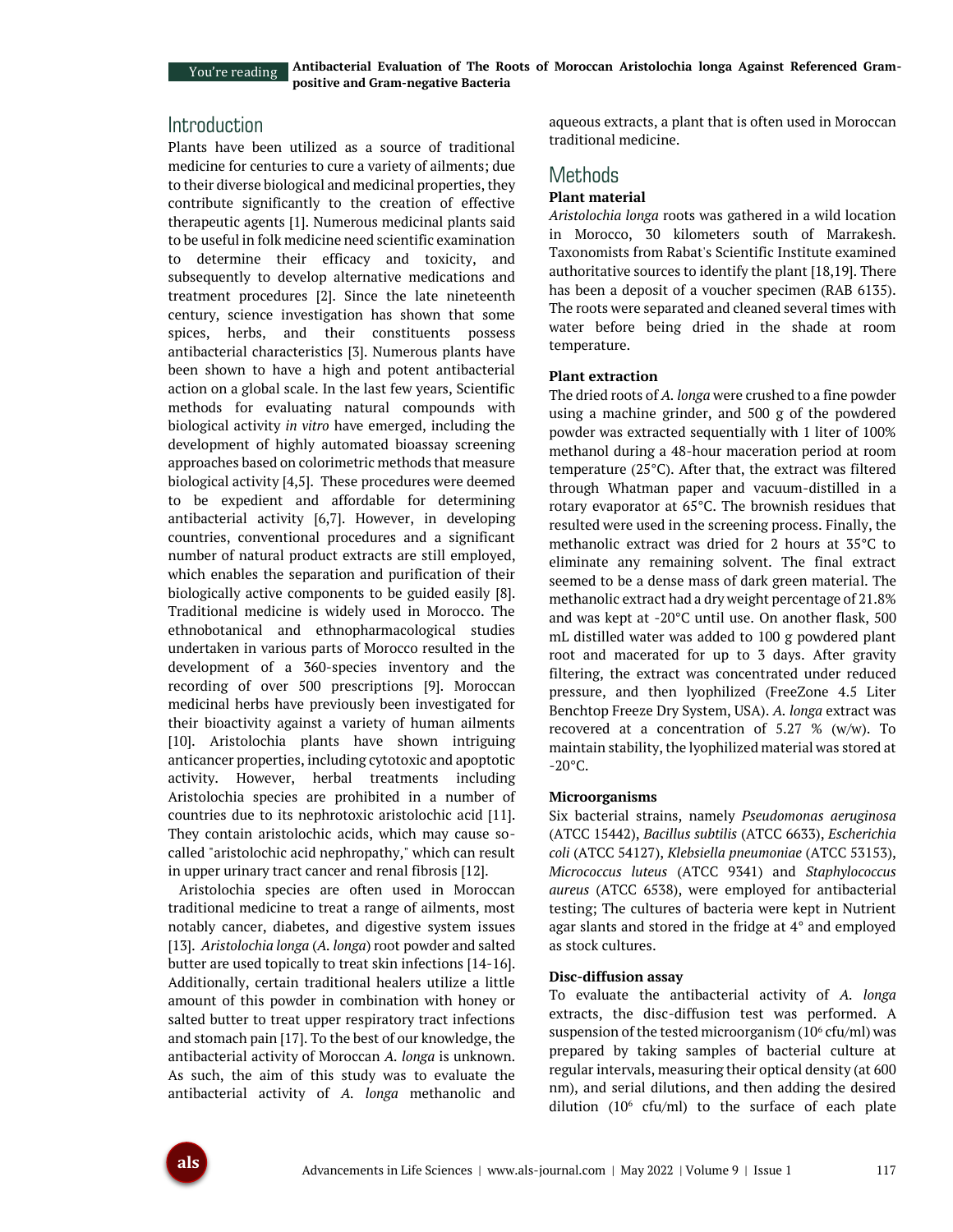# Introduction

Plants have been utilized as a source of traditional medicine for centuries to cure a variety of ailments; due to their diverse biological and medicinal properties, they contribute significantly to the creation of effective therapeutic agents [1]. Numerous medicinal plants said to be useful in folk medicine need scientific examination to determine their efficacy and toxicity, and subsequently to develop alternative medications and treatment procedures [2]. Since the late nineteenth century, science investigation has shown that some spices, herbs, and their constituents possess antibacterial characteristics [3]. Numerous plants have been shown to have a high and potent antibacterial action on a global scale. In the last few years, Scientific methods for evaluating natural compounds with biological activity *in vitro* have emerged, including the development of highly automated bioassay screening approaches based on colorimetric methods that measure biological activity [4,5]. These procedures were deemed to be expedient and affordable for determining antibacterial activity [6,7]. However, in developing countries, conventional procedures and a significant number of natural product extracts are still employed, which enables the separation and purification of their biologically active components to be guided easily [8]. Traditional medicine is widely used in Morocco. The ethnobotanical and ethnopharmacological studies undertaken in various parts of Morocco resulted in the development of a 360-species inventory and the recording of over 500 prescriptions [9]. Moroccan medicinal herbs have previously been investigated for their bioactivity against a variety of human ailments [10]. Aristolochia plants have shown intriguing anticancer properties, including cytotoxic and apoptotic activity. However, herbal treatments including Aristolochia species are prohibited in a number of countries due to its nephrotoxic aristolochic acid [11]. They contain aristolochic acids, which may cause socalled "aristolochic acid nephropathy," which can result in upper urinary tract cancer and renal fibrosis [12].

Aristolochia species are often used in Moroccan traditional medicine to treat a range of ailments, most notably cancer, diabetes, and digestive system issues [13]. *Aristolochia longa* (*A. longa*) root powder and salted butter are used topically to treat skin infections [14-16]. Additionally, certain traditional healers utilize a little amount of this powder in combination with honey or salted butter to treat upper respiratory tract infections and stomach pain [17]. To the best of our knowledge, the antibacterial activity of Moroccan *A. longa* is unknown. As such, the aim of this study was to evaluate the antibacterial activity of *A. longa* methanolic and aqueous extracts, a plant that is often used in Moroccan traditional medicine.

# **Methods**

#### **Plant material**

*Aristolochia longa* roots was gathered in a wild location in Morocco, 30 kilometers south of Marrakesh. Taxonomists from Rabat's Scientific Institute examined authoritative sources to identify the plant [18,19]. There has been a deposit of a voucher specimen (RAB 6135). The roots were separated and cleaned several times with water before being dried in the shade at room temperature.

#### **Plant extraction**

The dried roots of *A. longa* were crushed to a fine powder using a machine grinder, and 500 g of the powdered powder was extracted sequentially with 1 liter of 100% methanol during a 48-hour maceration period at room temperature (25°C). After that, the extract was filtered through Whatman paper and vacuum-distilled in a rotary evaporator at 65°C. The brownish residues that resulted were used in the screening process. Finally, the methanolic extract was dried for 2 hours at 35°C to eliminate any remaining solvent. The final extract seemed to be a dense mass of dark green material. The methanolic extract had a dry weight percentage of 21.8% and was kept at -20°C until use. On another flask, 500 mL distilled water was added to 100 g powdered plant root and macerated for up to 3 days. After gravity filtering, the extract was concentrated under reduced pressure, and then lyophilized (FreeZone 4.5 Liter Benchtop Freeze Dry System, USA). *A. longa* extract was recovered at a concentration of 5.27 % (w/w). To maintain stability, the lyophilized material was stored at  $-20^{\circ}$ C.

#### **Microorganisms**

Six bacterial strains, namely *Pseudomonas aeruginosa* (ATCC 15442), *Bacillus subtilis* (ATCC 6633), *Escherichia coli* (ATCC 54127), *Klebsiella pneumoniae* (ATCC 53153), *Micrococcus luteus* (ATCC 9341) and *Staphylococcus aureus* (ATCC 6538), were employed for antibacterial testing; The cultures of bacteria were kept in Nutrient agar slants and stored in the fridge at 4° and employed as stock cultures.

#### **Disc-diffusion assay**

To evaluate the antibacterial activity of *A. longa* extracts, the disc-diffusion test was performed. A suspension of the tested microorganism  $(10^6 \text{ cfu/ml})$  was prepared by taking samples of bacterial culture at regular intervals, measuring their optical density (at 600 nm), and serial dilutions, and then adding the desired dilution  $(10^6 \text{ cftt/ml})$  to the surface of each plate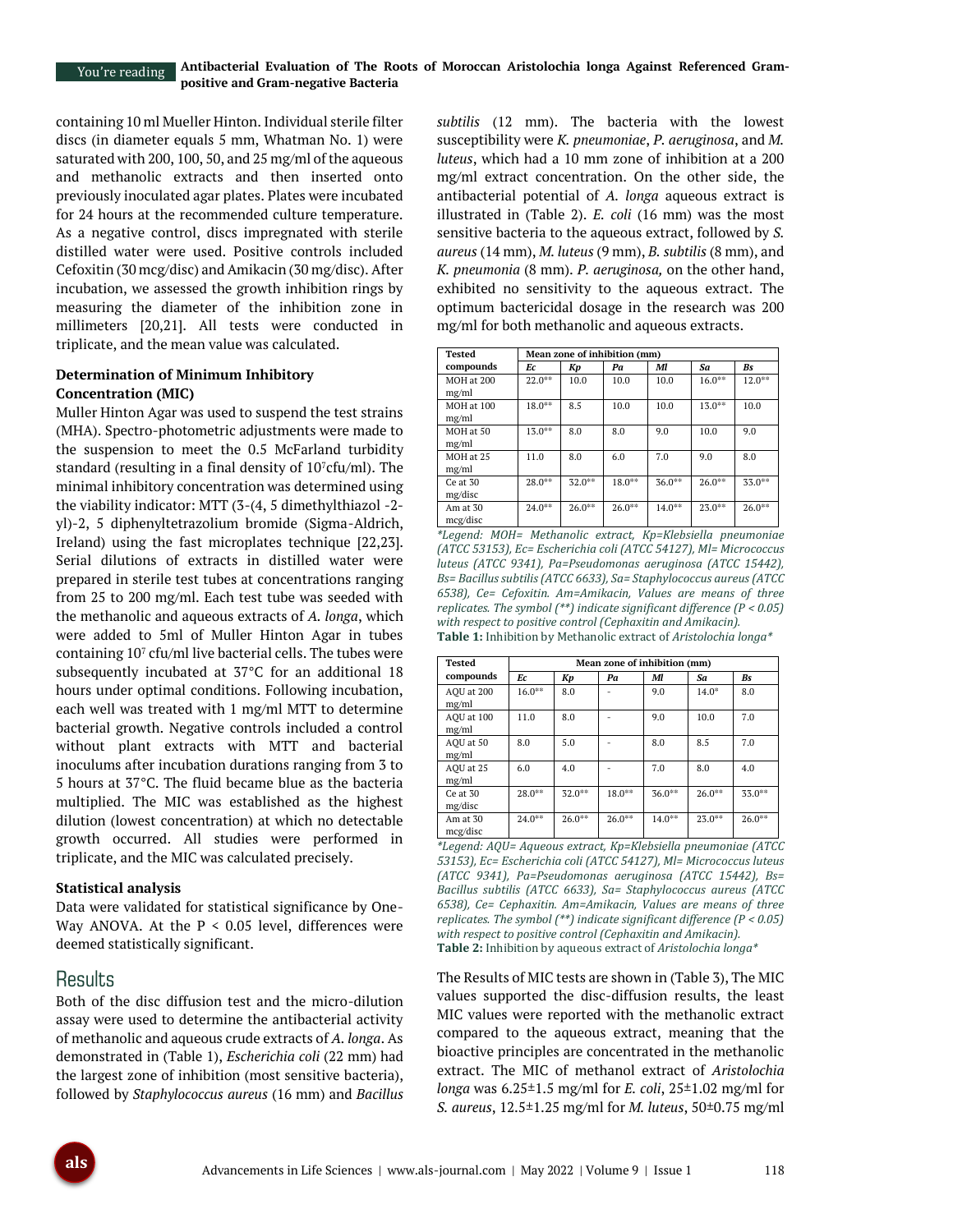containing 10 ml Mueller Hinton. Individual sterile filter discs (in diameter equals 5 mm, Whatman No. 1) were saturated with 200, 100, 50, and 25 mg/ml of the aqueous and methanolic extracts and then inserted onto previously inoculated agar plates. Plates were incubated for 24 hours at the recommended culture temperature. As a negative control, discs impregnated with sterile distilled water were used. Positive controls included Cefoxitin (30 mcg/disc) and Amikacin (30 mg/disc). After incubation, we assessed the growth inhibition rings by measuring the diameter of the inhibition zone in millimeters [20,21]. All tests were conducted in triplicate, and the mean value was calculated.

### **Determination of Minimum Inhibitory Concentration (MIC)**

Muller Hinton Agar was used to suspend the test strains (MHA). Spectro-photometric adjustments were made to the suspension to meet the 0.5 McFarland turbidity standard (resulting in a final density of  $10<sup>7</sup>cfu/ml$ ). The minimal inhibitory concentration was determined using the viability indicator: MTT (3-(4, 5 dimethylthiazol -2 yl)-2, 5 diphenyltetrazolium bromide (Sigma-Aldrich, Ireland) using the fast microplates technique [22,23]. Serial dilutions of extracts in distilled water were prepared in sterile test tubes at concentrations ranging from 25 to 200 mg/ml. Each test tube was seeded with the methanolic and aqueous extracts of *A. longa*, which were added to 5ml of Muller Hinton Agar in tubes containing  $10^7$  cfu/ml live bacterial cells. The tubes were subsequently incubated at 37°C for an additional 18 hours under optimal conditions. Following incubation, each well was treated with 1 mg/ml MTT to determine bacterial growth. Negative controls included a control without plant extracts with MTT and bacterial inoculums after incubation durations ranging from 3 to 5 hours at 37°C. The fluid became blue as the bacteria multiplied. The MIC was established as the highest dilution (lowest concentration) at which no detectable growth occurred. All studies were performed in triplicate, and the MIC was calculated precisely.

#### **Statistical analysis**

Data were validated for statistical significance by One-Way ANOVA. At the  $P < 0.05$  level, differences were deemed statistically significant.

# Results

Both of the disc diffusion test and the micro-dilution assay were used to determine the antibacterial activity of methanolic and aqueous crude extracts of *A. longa*. As demonstrated in (Table 1), *Escherichia coli* (22 mm) had the largest zone of inhibition (most sensitive bacteria), followed by *Staphylococcus aureus* (16 mm) and *Bacillus*  *subtilis* (12 mm). The bacteria with the lowest susceptibility were *K. pneumoniae*, *P. aeruginosa*, and *M. luteus*, which had a 10 mm zone of inhibition at a 200 mg/ml extract concentration. On the other side, the antibacterial potential of *A. longa* aqueous extract is illustrated in (Table 2). *E. coli* (16 mm) was the most sensitive bacteria to the aqueous extract, followed by *S. aureus* (14 mm), *M. luteus* (9 mm), *B. subtilis* (8 mm), and *K. pneumonia* (8 mm). *P. aeruginosa,* on the other hand, exhibited no sensitivity to the aqueous extract. The optimum bactericidal dosage in the research was 200 mg/ml for both methanolic and aqueous extracts.

| Tested               | Mean zone of inhibition (mm) |           |           |           |           |           |  |
|----------------------|------------------------------|-----------|-----------|-----------|-----------|-----------|--|
| compounds            | Ec                           | Kp        | Pa        | Мl        | Sa        | Bs        |  |
| MOH at 200<br>mg/ml  | $22.0***$                    | 10.0      | 10.0      | 10.0      | $16.0***$ | $12.0***$ |  |
| MOH at 100<br>mg/ml  | $18.0***$                    | 8.5       | 10.0      | 10.0      | $13.0***$ | 10.0      |  |
| MOH at 50<br>mg/ml   | $13.0***$                    | 8.0       | 8.0       | 9.0       | 10.0      | 9.0       |  |
| MOH at 25<br>mg/ml   | 11.0                         | 8.0       | 6.0       | 7.0       | 9.0       | 8.0       |  |
| Ce at 30<br>mg/disc  | $28.0***$                    | $32.0***$ | $18.0***$ | $36.0***$ | $26.0***$ | 33.0**    |  |
| Am at 30<br>mcg/disc | $24.0***$                    | $26.0***$ | $26.0***$ | $14.0***$ | $23.0***$ | $26.0***$ |  |

*\*Legend: MOH= Methanolic extract, Kp=Klebsiella pneumoniae (ATCC 53153), Ec= Escherichia coli (ATCC 54127), Ml= Micrococcus luteus (ATCC 9341), Pa=Pseudomonas aeruginosa (ATCC 15442), Bs= Bacillus subtilis (ATCC 6633), Sa= Staphylococcus aureus (ATCC 6538), Ce= Cefoxitin. Am=Amikacin, Values are means of three replicates. The symbol (\*\*) indicate significant difference (P < 0.05) with respect to positive control (Cephaxitin and Amikacin).* **Table 1:** Inhibition by Methanolic extract of *Aristolochia longa\**

| <b>Tested</b>        | Mean zone of inhibition (mm) |           |           |           |           |           |  |
|----------------------|------------------------------|-----------|-----------|-----------|-----------|-----------|--|
| compounds            | Ec                           | Kp        | Pa        | Мl        | Sa        | Bs        |  |
| AOU at 200<br>mg/ml  | $16.0***$                    | 8.0       |           | 9.0       | $14.0*$   | 8.0       |  |
| AOU at 100<br>mg/ml  | 11.0                         | 8.0       |           | 9.0       | 10.0      | 7.0       |  |
| AOU at 50<br>mg/ml   | 8.0                          | 5.0       |           | 8.0       | 8.5       | 7.0       |  |
| AOU at 25<br>mg/ml   | 6.0                          | 4.0       |           | 7.0       | 8.0       | 4.0       |  |
| Ce at 30<br>mg/disc  | $28.0***$                    | $32.0***$ | 18.0**    | $36.0***$ | $26.0***$ | $33.0***$ |  |
| Am at 30<br>mcg/disc | $24.0***$                    | $26.0***$ | $26.0***$ | $14.0***$ | $23.0***$ | $26.0***$ |  |

*\*Legend: AQU= Aqueous extract, Kp=Klebsiella pneumoniae (ATCC 53153), Ec= Escherichia coli (ATCC 54127), Ml= Micrococcus luteus (ATCC 9341), Pa=Pseudomonas aeruginosa (ATCC 15442), Bs= Bacillus subtilis (ATCC 6633), Sa= Staphylococcus aureus (ATCC 6538), Ce= Cephaxitin. Am=Amikacin, Values are means of three replicates. The symbol (\*\*) indicate significant difference (P < 0.05) with respect to positive control (Cephaxitin and Amikacin).* **Table 2:** Inhibition by aqueous extract of *Aristolochia longa\**

The Results of MIC tests are shown in (Table 3), The MIC values supported the disc-diffusion results, the least MIC values were reported with the methanolic extract compared to the aqueous extract, meaning that the bioactive principles are concentrated in the methanolic extract. The MIC of methanol extract of *Aristolochia longa* was 6.25±1.5 mg/ml for *E. coli*, 25±1.02 mg/ml for *S. aureus*, 12.5±1.25 mg/ml for *M. luteus*, 50±0.75 mg/ml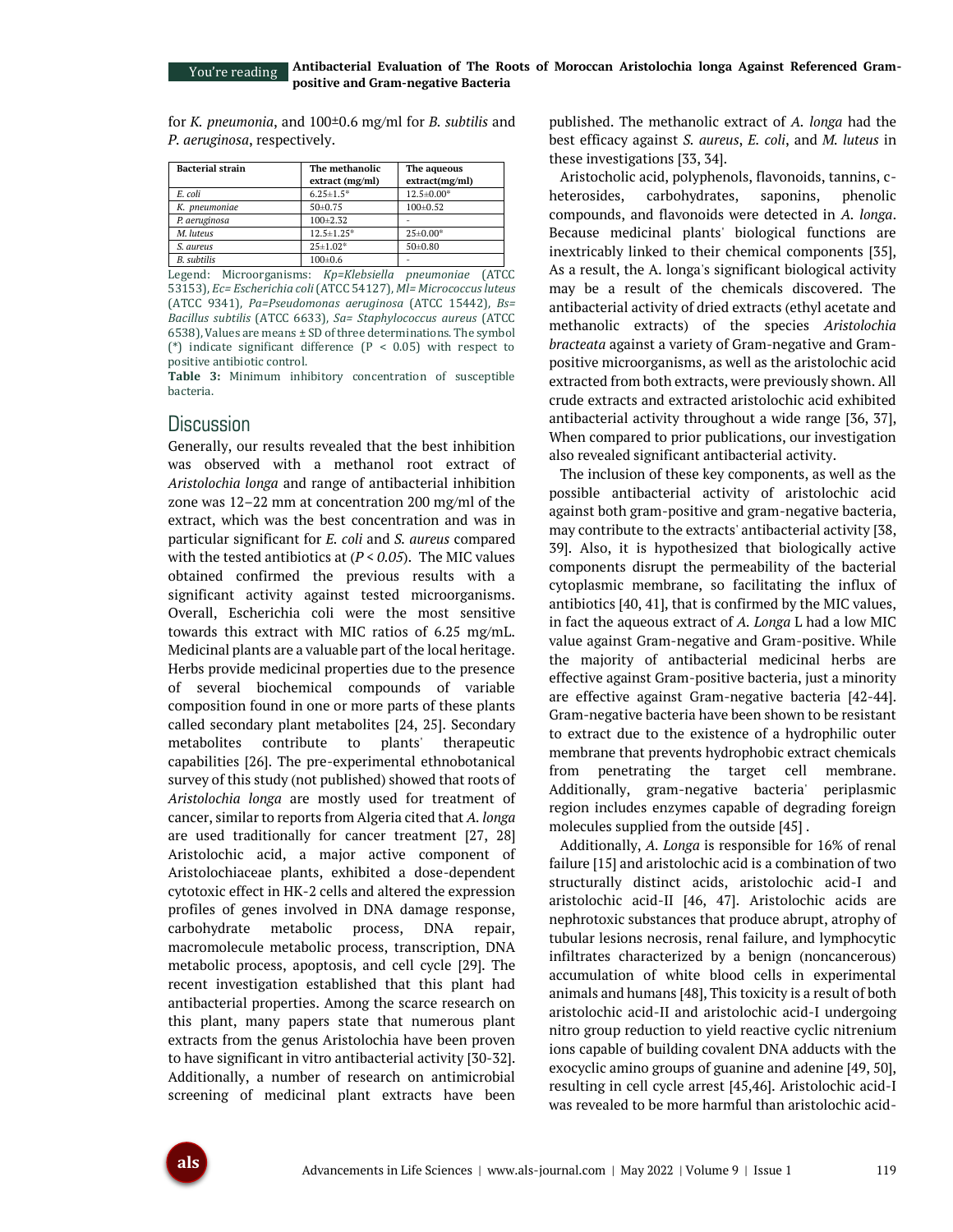You're reading

for *K. pneumonia*, and 100±0.6 mg/ml for *B. subtilis* and *P. aeruginosa*, respectively.

| <b>Bacterial strain</b> | The methanolic<br>extract (mg/ml) | The aqueous<br>extract(mg/ml) |
|-------------------------|-----------------------------------|-------------------------------|
| E. coli                 | $6.25 \pm 1.5$ *                  | 12.5±0.00*                    |
| K. pneumoniae           | $50+0.75$                         | $100 \pm 0.52$                |
| P. aeruginosa           | $100 + 2.32$                      |                               |
| M. luteus               | $12.5 \pm 1.25$ *                 | $25 \pm 0.00*$                |
| S. aureus               | $25 \pm 1.02*$                    | $50+0.80$                     |
| <b>B.</b> subtilis      | $100 \pm 0.6$                     |                               |

Legend: Microorganisms: *Kp=Klebsiella pneumoniae* (ATCC 53153), *Ec= Escherichia coli* (ATCC 54127), *Ml= Micrococcus luteus*  (ATCC 9341), *Pa=Pseudomonas aeruginosa* (ATCC 15442), *Bs= Bacillus subtilis* (ATCC 6633), *Sa= Staphylococcus aureus* (ATCC 6538), Values are means ± SD of three determinations. The symbol (\*) indicate significant difference ( $P < 0.05$ ) with respect to positive antibiotic control.

**Table 3:** Minimum inhibitory concentration of susceptible bacteria.

# **Discussion**

Generally, our results revealed that the best inhibition was observed with a methanol root extract of *Aristolochia longa* and range of antibacterial inhibition zone was 12–22 mm at concentration 200 mg/ml of the extract, which was the best concentration and was in particular significant for *E. coli* and *S. aureus* compared with the tested antibiotics at (*P < 0.05*). The MIC values obtained confirmed the previous results with a significant activity against tested microorganisms. Overall, Escherichia coli were the most sensitive towards this extract with MIC ratios of 6.25 mg/mL. Medicinal plants are a valuable part of the local heritage. Herbs provide medicinal properties due to the presence of several biochemical compounds of variable composition found in one or more parts of these plants called secondary plant metabolites [24, 25]. Secondary metabolites contribute to plants' therapeutic capabilities [26]. The pre-experimental ethnobotanical survey of this study (not published) showed that roots of *Aristolochia longa* are mostly used for treatment of cancer, similar to reports from Algeria cited that *A. longa*  are used traditionally for cancer treatment [27, 28] Aristolochic acid, a major active component of Aristolochiaceae plants, exhibited a dose-dependent cytotoxic effect in HK-2 cells and altered the expression profiles of genes involved in DNA damage response, carbohydrate metabolic process, DNA repair, macromolecule metabolic process, transcription, DNA metabolic process, apoptosis, and cell cycle [29]. The recent investigation established that this plant had antibacterial properties. Among the scarce research on this plant, many papers state that numerous plant extracts from the genus Aristolochia have been proven to have significant in vitro antibacterial activity [30-32]. Additionally, a number of research on antimicrobial screening of medicinal plant extracts have been

published. The methanolic extract of *A. longa* had the best efficacy against *S. aureus*, *E. coli*, and *M. luteus* in these investigations [33, 34].

Aristocholic acid, polyphenols, flavonoids, tannins, cheterosides, carbohydrates, saponins, phenolic compounds, and flavonoids were detected in *A. longa*. Because medicinal plants' biological functions are inextricably linked to their chemical components [35], As a result, the A. longa's significant biological activity may be a result of the chemicals discovered. The antibacterial activity of dried extracts (ethyl acetate and methanolic extracts) of the species *Aristolochia bracteata* against a variety of Gram-negative and Grampositive microorganisms, as well as the aristolochic acid extracted from both extracts, were previously shown. All crude extracts and extracted aristolochic acid exhibited antibacterial activity throughout a wide range [36, 37], When compared to prior publications, our investigation also revealed significant antibacterial activity.

The inclusion of these key components, as well as the possible antibacterial activity of aristolochic acid against both gram-positive and gram-negative bacteria, may contribute to the extracts' antibacterial activity [38, 39]. Also, it is hypothesized that biologically active components disrupt the permeability of the bacterial cytoplasmic membrane, so facilitating the influx of antibiotics [40, 41], that is confirmed by the MIC values, in fact the aqueous extract of *A. Longa* L had a low MIC value against Gram-negative and Gram-positive. While the majority of antibacterial medicinal herbs are effective against Gram-positive bacteria, just a minority are effective against Gram-negative bacteria [42-44]. Gram-negative bacteria have been shown to be resistant to extract due to the existence of a hydrophilic outer membrane that prevents hydrophobic extract chemicals from penetrating the target cell membrane. Additionally, gram-negative bacteria' periplasmic region includes enzymes capable of degrading foreign molecules supplied from the outside [45] .

Additionally, *A. Longa* is responsible for 16% of renal failure [15] and aristolochic acid is a combination of two structurally distinct acids, aristolochic acid-I and aristolochic acid-II [46, 47]. Aristolochic acids are nephrotoxic substances that produce abrupt, atrophy of tubular lesions necrosis, renal failure, and lymphocytic infiltrates characterized by a benign (noncancerous) accumulation of white blood cells in experimental animals and humans [48], This toxicity is a result of both aristolochic acid-II and aristolochic acid-I undergoing nitro group reduction to yield reactive cyclic nitrenium ions capable of building covalent DNA adducts with the exocyclic amino groups of guanine and adenine [49, 50], resulting in cell cycle arrest [45,46]. Aristolochic acid-I was revealed to be more harmful than aristolochic acid-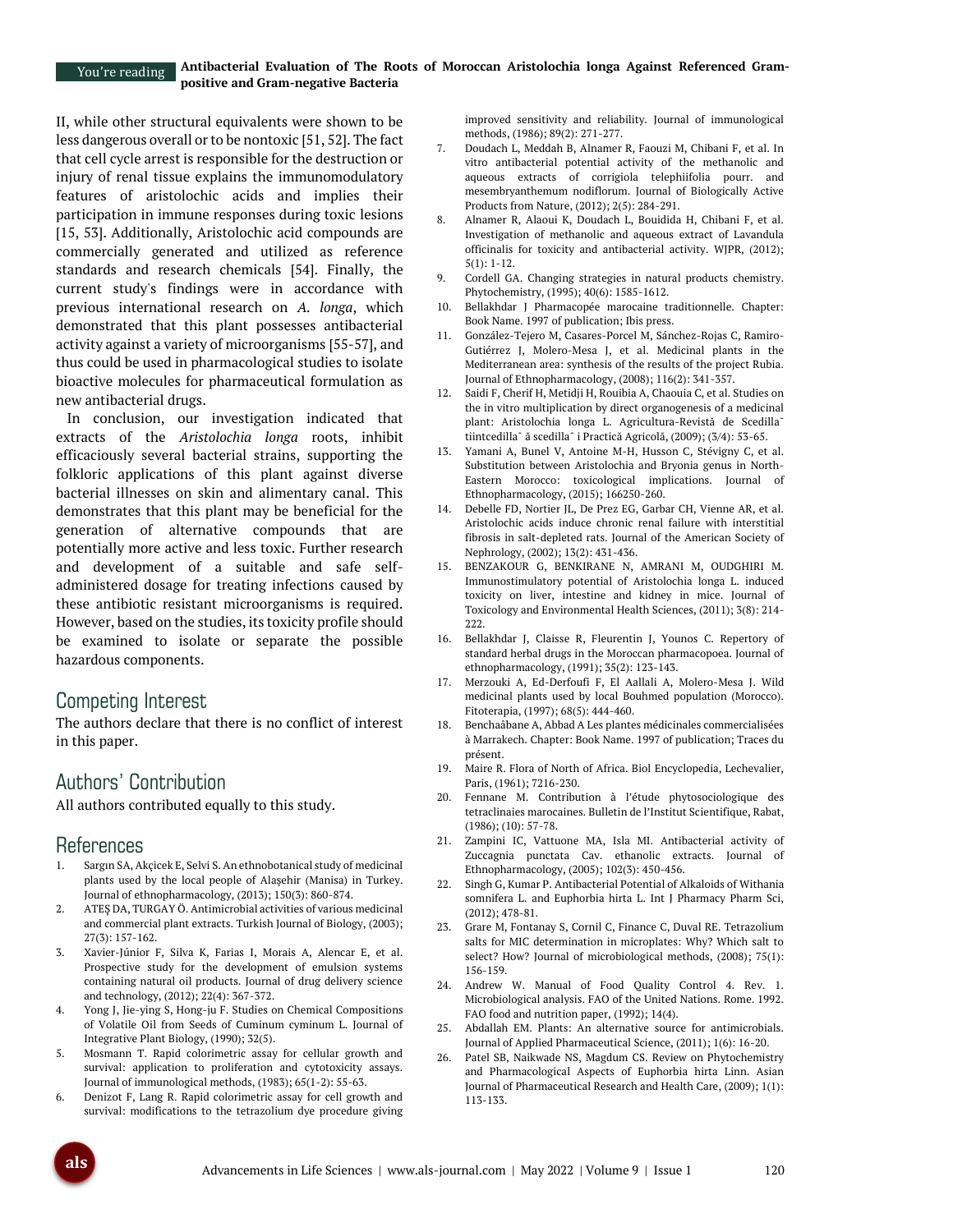II, while other structural equivalents were shown to be less dangerous overall or to be nontoxic [51, 52]. The fact that cell cycle arrest is responsible for the destruction or injury of renal tissue explains the immunomodulatory features of aristolochic acids and implies their participation in immune responses during toxic lesions [15, 53]. Additionally, Aristolochic acid compounds are commercially generated and utilized as reference standards and research chemicals [54]. Finally, the current study's findings were in accordance with previous international research on *A. longa*, which demonstrated that this plant possesses antibacterial activity against a variety of microorganisms [55-57], and thus could be used in pharmacological studies to isolate bioactive molecules for pharmaceutical formulation as new antibacterial drugs.

In conclusion, our investigation indicated that extracts of the *Aristolochia longa* roots, inhibit efficaciously several bacterial strains, supporting the folkloric applications of this plant against diverse bacterial illnesses on skin and alimentary canal. This demonstrates that this plant may be beneficial for the generation of alternative compounds that are potentially more active and less toxic. Further research and development of a suitable and safe selfadministered dosage for treating infections caused by these antibiotic resistant microorganisms is required. However, based on the studies, its toxicity profile should be examined to isolate or separate the possible hazardous components.

# Competing Interest

The authors declare that there is no conflict of interest in this paper.

# Authors' Contribution

All authors contributed equally to this study.

# References

- Sargın SA, Akçicek E, Selvi S. An ethnobotanical study of medicinal plants used by the local people of Alaşehir (Manisa) in Turkey. Journal of ethnopharmacology, (2013); 150(3): 860-874.
- 2. ATEŞ DA, TURGAY Ö. Antimicrobial activities of various medicinal and commercial plant extracts. Turkish Journal of Biology, (2003); 27(3): 157-162.
- 3. Xavier-Júnior F, Silva K, Farias I, Morais A, Alencar E, et al. Prospective study for the development of emulsion systems containing natural oil products. Journal of drug delivery science and technology, (2012); 22(4): 367-372.
- 4. Yong J, Jie-ying S, Hong-ju F. Studies on Chemical Compositions of Volatile Oil from Seeds of Cuminum cyminum L. Journal of Integrative Plant Biology, (1990); 32(5).
- 5. Mosmann T. Rapid colorimetric assay for cellular growth and survival: application to proliferation and cytotoxicity assays. Journal of immunological methods, (1983); 65(1-2): 55-63.
- 6. Denizot F, Lang R. Rapid colorimetric assay for cell growth and survival: modifications to the tetrazolium dye procedure giving

improved sensitivity and reliability. Journal of immunological methods, (1986); 89(2): 271-277.

- 7. Doudach L, Meddah B, Alnamer R, Faouzi M, Chibani F, et al. In vitro antibacterial potential activity of the methanolic and aqueous extracts of corrigiola telephiifolia pourr. and mesembryanthemum nodiflorum. Journal of Biologically Active Products from Nature, (2012); 2(5): 284-291.
- 8. Alnamer R, Alaoui K, Doudach L, Bouidida H, Chibani F, et al. Investigation of methanolic and aqueous extract of Lavandula officinalis for toxicity and antibacterial activity. WJPR, (2012); 5(1): 1-12.
- 9. Cordell GA. Changing strategies in natural products chemistry. Phytochemistry, (1995); 40(6): 1585-1612.
- 10. Bellakhdar J Pharmacopée marocaine traditionnelle. Chapter: Book Name. 1997 of publication; Ibis press.
- 11. González-Tejero M, Casares-Porcel M, Sánchez-Rojas C, Ramiro-Gutiérrez J, Molero-Mesa J, et al. Medicinal plants in the Mediterranean area: synthesis of the results of the project Rubia. Journal of Ethnopharmacology, (2008); 116(2): 341-357.
- 12. Saidi F, Cherif H, Metidji H, Rouibia A, Chaouia C, et al. Studies on the in vitro multiplication by direct organogenesis of a medicinal plant: Aristolochia longa L. Agricultura-Revistă de Scedilla<sup>-</sup> tiintcedilla˜ ă scedilla˜ i Practică Agricolă, (2009); (3/4): 53-65.
- Yamani A, Bunel V, Antoine M-H, Husson C, Stévigny C, et al. Substitution between Aristolochia and Bryonia genus in North-Eastern Morocco: toxicological implications. Journal of Ethnopharmacology, (2015); 166250-260.
- 14. Debelle FD, Nortier JL, De Prez EG, Garbar CH, Vienne AR, et al. Aristolochic acids induce chronic renal failure with interstitial fibrosis in salt-depleted rats. Journal of the American Society of Nephrology, (2002); 13(2): 431-436.
- 15. BENZAKOUR G, BENKIRANE N, AMRANI M, OUDGHIRI M. Immunostimulatory potential of Aristolochia longa L. induced toxicity on liver, intestine and kidney in mice. Journal of Toxicology and Environmental Health Sciences, (2011); 3(8): 214- 222.
- 16. Bellakhdar J, Claisse R, Fleurentin J, Younos C. Repertory of standard herbal drugs in the Moroccan pharmacopoea. Journal of ethnopharmacology, (1991); 35(2): 123-143.
- 17. Merzouki A, Ed-Derfoufi F, El Aallali A, Molero-Mesa J. Wild medicinal plants used by local Bouhmed population (Morocco). Fitoterapia, (1997); 68(5): 444-460.
- 18. Benchaâbane A, Abbad A Les plantes médicinales commercialisées à Marrakech. Chapter: Book Name. 1997 of publication; Traces du présent.
- 19. Maire R. Flora of North of Africa. Biol Encyclopedia, Lechevalier, Paris, (1961); 7216-230.
- 20. Fennane M. Contribution à l'étude phytosociologique des tetraclinaies marocaines. Bulletin de l'Institut Scientifique, Rabat, (1986); (10): 57-78.
- 21. Zampini IC, Vattuone MA, Isla MI. Antibacterial activity of Zuccagnia punctata Cav. ethanolic extracts. Journal of Ethnopharmacology, (2005); 102(3): 450-456.
- 22. Singh G, Kumar P. Antibacterial Potential of Alkaloids of Withania somnifera L. and Euphorbia hirta L. Int J Pharmacy Pharm Sci, (2012); 478-81.
- 23. Grare M, Fontanay S, Cornil C, Finance C, Duval RE. Tetrazolium salts for MIC determination in microplates: Why? Which salt to select? How? Journal of microbiological methods, (2008); 75(1): 156-159.
- 24. Andrew W. Manual of Food Quality Control 4. Rev. 1. Microbiological analysis. FAO of the United Nations. Rome. 1992. FAO food and nutrition paper, (1992); 14(4).
- 25. Abdallah EM. Plants: An alternative source for antimicrobials. Journal of Applied Pharmaceutical Science, (2011); 1(6): 16-20.
- 26. Patel SB, Naikwade NS, Magdum CS. Review on Phytochemistry and Pharmacological Aspects of Euphorbia hirta Linn. Asian Journal of Pharmaceutical Research and Health Care, (2009); 1(1): 113-133.